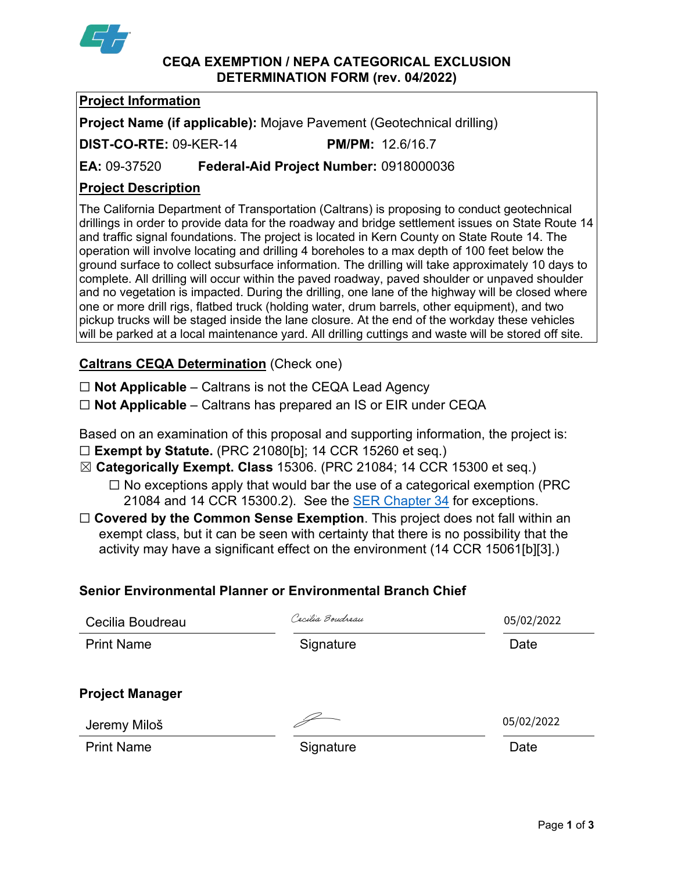

#### **CEQA EXEMPTION / NEPA CATEGORICAL EXCLUSION DETERMINATION FORM (rev. 04/2022)**

# **Project Information**

**Project Name (if applicable):** Mojave Pavement (Geotechnical drilling)

**DIST-CO-RTE:** 09-KER-14 **PM/PM:** 12.6/16.7

**EA:** 09-37520 **Federal-Aid Project Number:** 0918000036

# **Project Description**

The California Department of Transportation (Caltrans) is proposing to conduct geotechnical drillings in order to provide data for the roadway and bridge settlement issues on State Route 14 and traffic signal foundations. The project is located in Kern County on State Route 14. The operation will involve locating and drilling 4 boreholes to a max depth of 100 feet below the ground surface to collect subsurface information. The drilling will take approximately 10 days to complete. All drilling will occur within the paved roadway, paved shoulder or unpaved shoulder and no vegetation is impacted. During the drilling, one lane of the highway will be closed where one or more drill rigs, flatbed truck (holding water, drum barrels, other equipment), and two pickup trucks will be staged inside the lane closure. At the end of the workday these vehicles will be parked at a local maintenance yard. All drilling cuttings and waste will be stored off site.

# **Caltrans CEQA Determination** (Check one)

☐ **Not Applicable** – Caltrans is not the CEQA Lead Agency

☐ **Not Applicable** – Caltrans has prepared an IS or EIR under CEQA

Based on an examination of this proposal and supporting information, the project is: ☐ **Exempt by Statute.** (PRC 21080[b]; 14 CCR 15260 et seq.)

☒ **Categorically Exempt. Class** 15306. (PRC 21084; 14 CCR 15300 et seq.)

 $\Box$  No exceptions apply that would bar the use of a categorical exemption (PRC 21084 and 14 CCR 15300.2). See the **SER Chapter 34** for exceptions.

□ **Covered by the Common Sense Exemption**. This project does not fall within an exempt class, but it can be seen with certainty that there is no possibility that the activity may have a significant effect on the environment (14 CCR 15061[b][3].)

#### **Senior Environmental Planner or Environmental Branch Chief**

| Cecilia Boudreau       | Cacilia Boudreau | 05/02/2022 |
|------------------------|------------------|------------|
| <b>Print Name</b>      | Signature        | Date       |
| <b>Project Manager</b> |                  |            |
| Jeremy Miloš           |                  | 05/02/2022 |
| <b>Print Name</b>      | Signature        | Date       |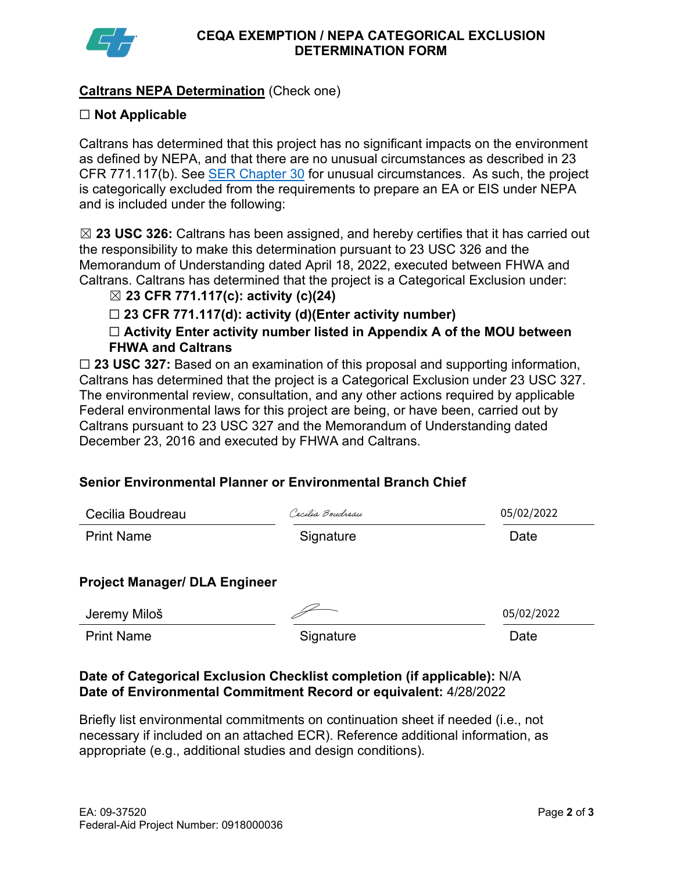

# **Caltrans NEPA Determination** (Check one)

#### ☐ **Not Applicable**

Caltrans has determined that this project has no significant impacts on the environment as defined by NEPA, and that there are no unusual circumstances as described in 23 CFR 771.117(b). See [SER Chapter 30](https://dot.ca.gov/programs/environmental-analysis/standard-environmental-reference-ser/volume-1-guidance-for-compliance/ch-30-categorical-exclusions#exception) for unusual circumstances. As such, the project is categorically excluded from the requirements to prepare an EA or EIS under NEPA and is included under the following:

☒ **23 USC 326:** Caltrans has been assigned, and hereby certifies that it has carried out the responsibility to make this determination pursuant to 23 USC 326 and the Memorandum of Understanding dated April 18, 2022, executed between FHWA and Caltrans. Caltrans has determined that the project is a Categorical Exclusion under:

#### ☒ **23 CFR 771.117(c): activity (c)(24)**

☐ **23 CFR 771.117(d): activity (d)(Enter activity number)**

☐ **Activity Enter activity number listed in Appendix A of the MOU between FHWA and Caltrans**

☐ **23 USC 327:** Based on an examination of this proposal and supporting information, Caltrans has determined that the project is a Categorical Exclusion under 23 USC 327. The environmental review, consultation, and any other actions required by applicable Federal environmental laws for this project are being, or have been, carried out by Caltrans pursuant to 23 USC 327 and the Memorandum of Understanding dated December 23, 2016 and executed by FHWA and Caltrans.

#### **Senior Environmental Planner or Environmental Branch Chief**

| Cecilia Boudreau                     | Cecilia Boudreau | 05/02/2022 |
|--------------------------------------|------------------|------------|
| <b>Print Name</b>                    | Signature        | Date       |
| <b>Project Manager/ DLA Engineer</b> |                  |            |
| Jeremy Miloš                         |                  | 05/02/2022 |
| <b>Print Name</b>                    | Signature        | Date       |

#### **Date of Categorical Exclusion Checklist completion (if applicable):** N/A **Date of Environmental Commitment Record or equivalent:** 4/28/2022

Briefly list environmental commitments on continuation sheet if needed (i.e., not necessary if included on an attached ECR). Reference additional information, as appropriate (e.g., additional studies and design conditions).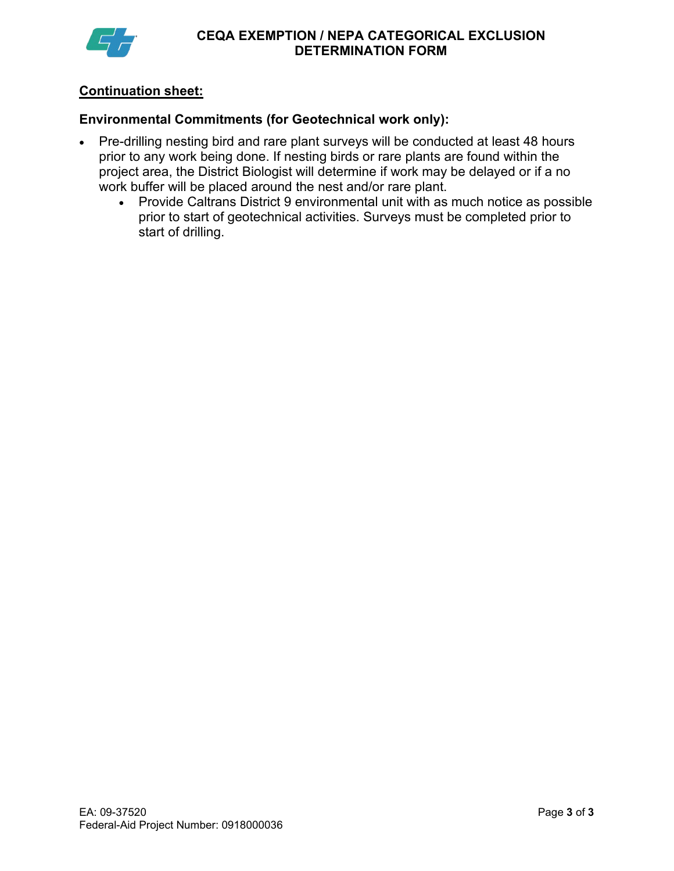

## **Continuation sheet:**

#### **Environmental Commitments (for Geotechnical work only):**

- Pre-drilling nesting bird and rare plant surveys will be conducted at least 48 hours prior to any work being done. If nesting birds or rare plants are found within the project area, the District Biologist will determine if work may be delayed or if a no work buffer will be placed around the nest and/or rare plant.
	- Provide Caltrans District 9 environmental unit with as much notice as possible prior to start of geotechnical activities. Surveys must be completed prior to start of drilling.